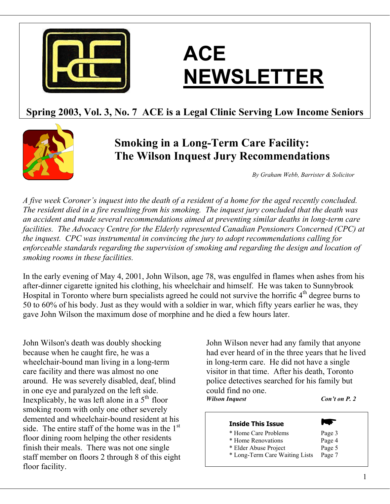

# **ACE NEWSLETTER**

# **Spring 2003, Vol. 3, No. 7 ACE is a Legal Clinic Serving Low Income Seniors**



# **Smoking in a Long-Term Care Facility: The Wilson Inquest Jury Recommendations**

*By Graham Webb, Barrister & Solicitor* 

*A five week Coroner's inquest into the death of a resident of a home for the aged recently concluded. The resident died in a fire resulting from his smoking. The inquest jury concluded that the death was an accident and made several recommendations aimed at preventing similar deaths in long-term care facilities. The Advocacy Centre for the Elderly represented Canadian Pensioners Concerned (CPC) at the inquest. CPC was instrumental in convincing the jury to adopt recommendations calling for enforceable standards regarding the supervision of smoking and regarding the design and location of smoking rooms in these facilities.* 

In the early evening of May 4, 2001, John Wilson, age 78, was engulfed in flames when ashes from his after-dinner cigarette ignited his clothing, his wheelchair and himself. He was taken to Sunnybrook Hospital in Toronto where burn specialists agreed he could not survive the horrific  $4<sup>th</sup>$  degree burns to 50 to 60% of his body. Just as they would with a soldier in war, which fifty years earlier he was, they gave John Wilson the maximum dose of morphine and he died a few hours later.

John Wilson's death was doubly shocking because when he caught fire, he was a wheelchair-bound man living in a long-term care facility and there was almost no one around. He was severely disabled, deaf, blind in one eye and paralyzed on the left side. Inexplicably, he was left alone in a  $5<sup>th</sup>$  floor smoking room with only one other severely demented and wheelchair-bound resident at his side. The entire staff of the home was in the  $1<sup>st</sup>$ floor dining room helping the other residents finish their meals. There was not one single staff member on floors 2 through 8 of this eight floor facility.

John Wilson never had any family that anyone had ever heard of in the three years that he lived in long-term care. He did not have a single visitor in that time. After his death, Toronto police detectives searched for his family but could find no one. *Wilson Inquest Con't on P. 2* 

### **Inside This Issue**

- \* Home Care Problems Page 3
- \* Home Renovations Page 4
- \* Elder Abuse Project Page 5
- \* Long-Term Care Waiting Lists Page 7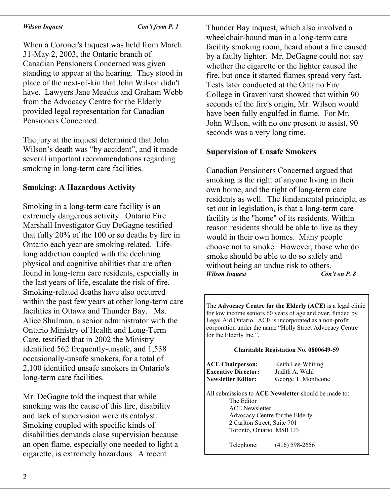### *Wilson Inquest Con't from P. 1*

When a Coroner's Inquest was held from March 31-May 2, 2003, the Ontario branch of Canadian Pensioners Concerned was given standing to appear at the hearing. They stood in place of the next-of-kin that John Wilson didn't have. Lawyers Jane Meadus and Graham Webb from the Advocacy Centre for the Elderly provided legal representation for Canadian Pensioners Concerned.

The jury at the inquest determined that John Wilson's death was "by accident", and it made several important recommendations regarding smoking in long-term care facilities.

# **Smoking: A Hazardous Activity**

Smoking in a long-term care facility is an extremely dangerous activity. Ontario Fire Marshall Investigator Guy DeGagne testified that fully 20% of the 100 or so deaths by fire in Ontario each year are smoking-related. Lifelong addiction coupled with the declining physical and cognitive abilities that are often found in long-term care residents, especially in the last years of life, escalate the risk of fire. Smoking-related deaths have also occurred within the past few years at other long-term care facilities in Ottawa and Thunder Bay. Ms. Alice Shulman, a senior administrator with the Ontario Ministry of Health and Long-Term Care, testified that in 2002 the Ministry identified 562 frequently-unsafe, and 1,538 occasionally-unsafe smokers, for a total of 2,100 identified unsafe smokers in Ontario's long-term care facilities.

Mr. DeGagne told the inquest that while smoking was the cause of this fire, disability and lack of supervision were its catalyst. Smoking coupled with specific kinds of disabilities demands close supervision because an open flame, especially one needed to light a cigarette, is extremely hazardous. A recent

Thunder Bay inquest, which also involved a wheelchair-bound man in a long-term care facility smoking room, heard about a fire caused by a faulty lighter. Mr. DeGagne could not say whether the cigarette or the lighter caused the fire, but once it started flames spread very fast. Tests later conducted at the Ontario Fire College in Gravenhurst showed that within 90 seconds of the fire's origin, Mr. Wilson would have been fully engulfed in flame. For Mr. John Wilson, with no one present to assist, 90 seconds was a very long time.

### **Supervision of Unsafe Smokers**

Canadian Pensioners Concerned argued that smoking is the right of anyone living in their own home, and the right of long-term care residents as well. The fundamental principle, as set out in legislation, is that a long-term care facility is the "home" of its residents. Within reason residents should be able to live as they would in their own homes. Many people choose not to smoke. However, those who do smoke should be able to do so safely and without being an undue risk to others. *Wilson Inquest Con't on P. 8* 

The **Advocacy Centre for the Elderly (ACE)** is a legal clinic for low income seniors 60 years of age and over, funded by Legal Aid Ontario. ACE is incorporated as a non-profit corporation under the name "Holly Street Advocacy Centre for the Elderly Inc.".

### **Charitable Registation No. 0800649-59**

**ACE Chairperson:** Keith Lee-Whiting **Executive Director:** Judith A. Wahl **Newsletter Editor:** George T. Monticone

All submissions to **ACE Newsletter** should be made to: The Editor ACE Newsletter Advocacy Centre for the Elderly 2 Carlton Street, Suite 701 Toronto, Ontario M5B 1J3

Telephone: (416) 598-2656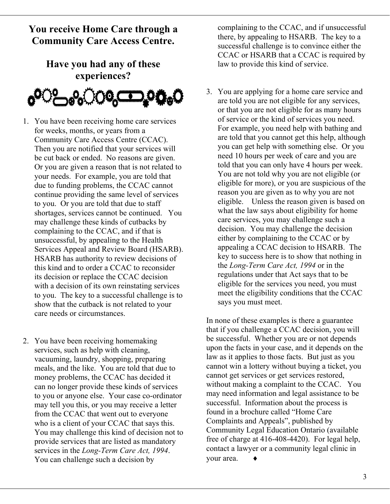# **You receive Home Care through a Community Care Access Centre.**

# **Have you had any of these experiences?**



- 1. You have been receiving home care services for weeks, months, or years from a Community Care Access Centre (CCAC). Then you are notified that your services will be cut back or ended. No reasons are given. Or you are given a reason that is not related to your needs. For example, you are told that due to funding problems, the CCAC cannot continue providing the same level of services to you. Or you are told that due to staff shortages, services cannot be continued. You may challenge these kinds of cutbacks by complaining to the CCAC, and if that is unsuccessful, by appealing to the Health Services Appeal and Review Board (HSARB). HSARB has authority to review decisions of this kind and to order a CCAC to reconsider its decision or replace the CCAC decision with a decision of its own reinstating services to you. The key to a successful challenge is to show that the cutback is not related to your care needs or circumstances.
- 2. You have been receiving homemaking services, such as help with cleaning, vacuuming, laundry, shopping, preparing meals, and the like. You are told that due to money problems, the CCAC has decided it can no longer provide these kinds of services to you or anyone else. Your case co-ordinator may tell you this, or you may receive a letter from the CCAC that went out to everyone who is a client of your CCAC that says this. You may challenge this kind of decision not to provide services that are listed as mandatory services in the *Long-Term Care Act, 1994*. You can challenge such a decision by

complaining to the CCAC, and if unsuccessful there, by appealing to HSARB. The key to a successful challenge is to convince either the CCAC or HSARB that a CCAC is required by law to provide this kind of service.

3. You are applying for a home care service and are told you are not eligible for any services, or that you are not eligible for as many hours of service or the kind of services you need. For example, you need help with bathing and are told that you cannot get this help, although you can get help with something else. Or you need 10 hours per week of care and you are told that you can only have 4 hours per week. You are not told why you are not eligible (or eligible for more), or you are suspicious of the reason you are given as to why you are not eligible. Unless the reason given is based on what the law says about eligibility for home care services, you may challenge such a decision. You may challenge the decision either by complaining to the CCAC or by appealing a CCAC decision to HSARB. The key to success here is to show that nothing in the *Long-Term Care Act, 1994* or in the regulations under that Act says that to be eligible for the services you need, you must meet the eligibility conditions that the CCAC says you must meet.

In none of these examples is there a guarantee that if you challenge a CCAC decision, you will be successful. Whether you are or not depends upon the facts in your case, and it depends on the law as it applies to those facts. But just as you cannot win a lottery without buying a ticket, you cannot get services or get services restored, without making a complaint to the CCAC. You may need information and legal assistance to be successful. Information about the process is found in a brochure called "Home Care Complaints and Appeals", published by Community Legal Education Ontario (available free of charge at 416-408-4420). For legal help, contact a lawyer or a community legal clinic in your area.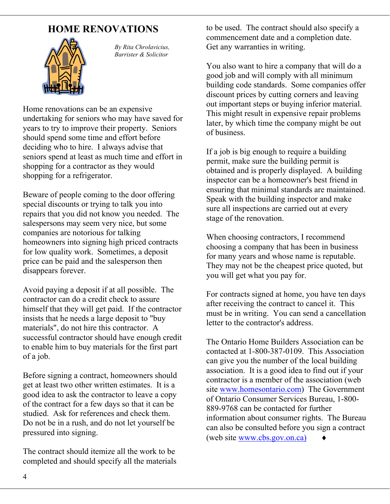# **HOME RENOVATIONS**



*By Rita Chrolavicius, Barrister & Solicitor* 

Home renovations can be an expensive undertaking for seniors who may have saved for years to try to improve their property. Seniors should spend some time and effort before deciding who to hire. I always advise that seniors spend at least as much time and effort in shopping for a contractor as they would shopping for a refrigerator.

Beware of people coming to the door offering special discounts or trying to talk you into repairs that you did not know you needed. The salespersons may seem very nice, but some companies are notorious for talking homeowners into signing high priced contracts for low quality work. Sometimes, a deposit price can be paid and the salesperson then disappears forever.

Avoid paying a deposit if at all possible. The contractor can do a credit check to assure himself that they will get paid. If the contractor insists that he needs a large deposit to "buy materials", do not hire this contractor. A successful contractor should have enough credit to enable him to buy materials for the first part of a job.

Before signing a contract, homeowners should get at least two other written estimates. It is a good idea to ask the contractor to leave a copy of the contract for a few days so that it can be studied. Ask for references and check them. Do not be in a rush, and do not let yourself be pressured into signing.

The contract should itemize all the work to be completed and should specify all the materials to be used. The contract should also specify a commencement date and a completion date. Get any warranties in writing.

You also want to hire a company that will do a good job and will comply with all minimum building code standards. Some companies offer discount prices by cutting corners and leaving out important steps or buying inferior material. This might result in expensive repair problems later, by which time the company might be out of business.

If a job is big enough to require a building permit, make sure the building permit is obtained and is properly displayed. A building inspector can be a homeowner's best friend in ensuring that minimal standards are maintained. Speak with the building inspector and make sure all inspections are carried out at every stage of the renovation.

When choosing contractors, I recommend choosing a company that has been in business for many years and whose name is reputable. They may not be the cheapest price quoted, but you will get what you pay for.

For contracts signed at home, you have ten days after receiving the contract to cancel it. This must be in writing. You can send a cancellation letter to the contractor's address.

The Ontario Home Builders Association can be contacted at 1-800-387-0109. This Association can give you the number of the local building association. It is a good idea to find out if your contractor is a member of the association (web site [www.homesontario.com](http://www.homesontario.com/)) The Government of Ontario Consumer Services Bureau, 1-800- 889-9768 can be contacted for further information about consumer rights. The Bureau can also be consulted before you sign a contract  $(web site www.obs.gov.on.ca)$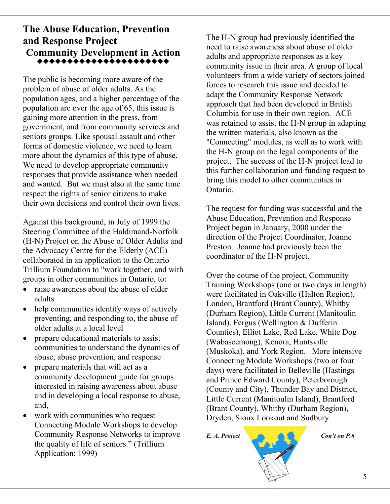# **The Abuse Education, Prevention and Response Project** The H-N group had previously identified the **Community Development in Action**  \*\*\*\*\*\*\*\*\*\*\*\*\*\*\*\*\*\*\*

The public is becoming more aware of the problem of abuse of older adults. As the population ages, and a higher percentage of the population are over the age of 65, this issue is gaining more attention in the press, from government, and from community services and seniors groups. Like spousal assault and other forms of domestic violence, we need to learn more about the dynamics of this type of abuse. We need to develop appropriate community responses that provide assistance when needed and wanted. But we must also at the same time respect the rights of senior citizens to make their own decisions and control their own lives. The request for funding was successful and the

Against this background, in July of 1999 the Steering Committee of the Haldimand-Norfolk (H-N) Project on the Abuse of Older Adults and the Advocacy Centre for the Elderly (ACE) collaborated in an application to the Ontario Trillium Foundation to "work together, and with groups in other communities in Ontario, to: Over the course of the project, Community

- raise awareness about the abuse of older adults
- help communities identify ways of actively preventing, and responding to, the abuse of older adults at a local level
- prepare educational materials to assist communities to understand the dynamics of abuse, abuse prevention, and response
- prepare materials that will act as a community development guide for groups interested in raising awareness about abuse and in developing a local response to abuse, and,
- work with communities who request Connecting Module Workshops to develop Community Response Networks to improve the quality of life of seniors." (Trillium Application; 1999)

need to raise awareness about abuse of older adults and appropriate responses as a key community issue in their area. A group of local volunteers from a wide variety of sectors joined forces to research this issue and decided to adapt the Community Response Network approach that had been developed in British Columbia for use in their own region. ACE was retained to assist the H-N group in adapting the written materials, also known as the "Connecting" modules, as well as to work with the H-N group on the legal components of the project. The success of the H-N project lead to this further collaboration and funding request to bring this model to other communities in Ontario.

Abuse Education, Prevention and Response Project began in January, 2000 under the direction of the Project Coordinator, Joanne Preston. Joanne had previously been the coordinator of the H-N project.

Training Workshops (one or two days in length) were facilitated in Oakville (Halton Region), London, Brantford (Brant County), Whitby (Durham Region), Little Current (Manitoulin Island), Fergus (Wellington & Dufferin Counties), Elliot Lake, Red Lake, White Dog (Wabaseemong), Kenora, Huntsville (Muskoka), and York Region. More intensive Connecting Module Workshops (two or four days) were facilitated in Belleville (Hastings and Prince Edward County), Peterborough (County and City), Thunder Bay and District, Little Current (Manitoulin Island), Brantford (Brant County), Whitby (Durham Region), Dryden, Sioux Lookout and Sudbury.

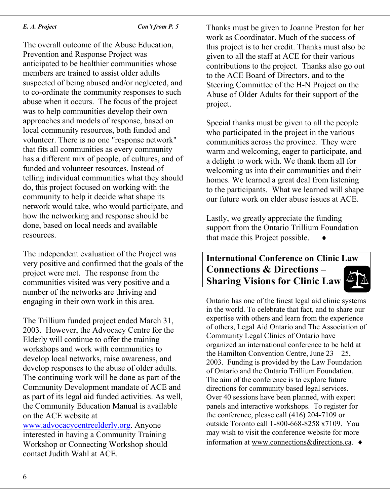### *E. A. Project Con't from P. 5*

The overall outcome of the Abuse Education, Prevention and Response Project was anticipated to be healthier communities whose members are trained to assist older adults suspected of being abused and/or neglected, and to co-ordinate the community responses to such abuse when it occurs. The focus of the project was to help communities develop their own approaches and models of response, based on local community resources, both funded and volunteer. There is no one "response network" that fits all communities as every community has a different mix of people, of cultures, and of funded and volunteer resources. Instead of telling individual communities what they should do, this project focused on working with the community to help it decide what shape its network would take, who would participate, and how the networking and response should be done, based on local needs and available resources.

The independent evaluation of the Project was very positive and confirmed that the goals of the project were met. The response from the communities visited was very positive and a number of the networks are thriving and engaging in their own work in this area.

The Trillium funded project ended March 31, 2003. However, the Advocacy Centre for the Elderly will continue to offer the training workshops and work with communities to develop local networks, raise awareness, and develop responses to the abuse of older adults. The continuing work will be done as part of the Community Development mandate of ACE and as part of its legal aid funded activities. As well, the Community Education Manual is available on the ACE website at [www.advocacycentreelderly.org.](http://www.advocacycentreelderly.org/) Anyone

interested in having a Community Training Workshop or Connecting Workshop should contact Judith Wahl at ACE.

Thanks must be given to Joanne Preston for her work as Coordinator. Much of the success of this project is to her credit. Thanks must also be given to all the staff at ACE for their various contributions to the project. Thanks also go out to the ACE Board of Directors, and to the Steering Committee of the H-N Project on the Abuse of Older Adults for their support of the project.

Special thanks must be given to all the people who participated in the project in the various communities across the province. They were warm and welcoming, eager to participate, and a delight to work with. We thank them all for welcoming us into their communities and their homes. We learned a great deal from listening to the participants. What we learned will shape our future work on elder abuse issues at ACE.

Lastly, we greatly appreciate the funding support from the Ontario Trillium Foundation that made this Project possible.

# **International Conference on Clinic Law Connections & Directions – Sharing Visions for Clinic Law**

Ontario has one of the finest legal aid clinic systems in the world. To celebrate that fact, and to share our expertise with others and learn from the experience of others, Legal Aid Ontario and The Association of Community Legal Clinics of Ontario have organized an international conference to be held at the Hamilton Convention Centre, June  $23 - 25$ , 2003. Funding is provided by the Law Foundation of Ontario and the Ontario Trillium Foundation. The aim of the conference is to explore future directions for community based legal services. Over 40 sessions have been planned, with expert panels and interactive workshops. To register for the conference, please call (416) 204-7109 or outside Toronto call 1-800-668-8258 x7109. You may wish to visit the conference website for more information at www.connections&directions.ca. ♦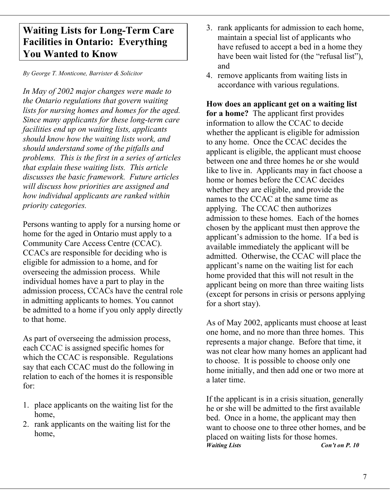# **Waiting Lists for Long-Term Care Facilities in Ontario: Everything You Wanted to Know**

accordance with various regulations. *In May of 2002 major changes were made to the Ontario regulations that govern waiting lists for nursing homes and homes for the aged. Since many applicants for these long-term care facilities end up on waiting lists, applicants should know how the waiting lists work, and should understand some of the pitfalls and problems. This is the first in a series of articles that explain these waiting lists. This article discusses the basic framework. Future articles will discuss how priorities are assigned and how individual applicants are ranked within priority categories.* 

Persons wanting to apply for a nursing home or home for the aged in Ontario must apply to a Community Care Access Centre (CCAC). CCACs are responsible for deciding who is eligible for admission to a home, and for overseeing the admission process. While individual homes have a part to play in the admission process, CCACs have the central role in admitting applicants to homes. You cannot be admitted to a home if you only apply directly to that home.<br>As of May 2002, applicants must choose at least

As part of overseeing the admission process, each CCAC is assigned specific homes for which the CCAC is responsible. Regulations say that each CCAC must do the following in relation to each of the homes it is responsible for:

- 1. place applicants on the waiting list for the home,
- 2. rank applicants on the waiting list for the home,
- 3. rank applicants for admission to each home, maintain a special list of applicants who have refused to accept a bed in a home they have been wait listed for (the "refusal list"), and
- *By George T. Monticone, Barrister & Solicitor* 4. remove applicants from waiting lists in

**How does an applicant get on a waiting list for a home?** The applicant first provides information to allow the CCAC to decide whether the applicant is eligible for admission to any home. Once the CCAC decides the applicant is eligible, the applicant must choose between one and three homes he or she would like to live in. Applicants may in fact choose a home or homes before the CCAC decides whether they are eligible, and provide the names to the CCAC at the same time as applying. The CCAC then authorizes admission to these homes. Each of the homes chosen by the applicant must then approve the applicant's admission to the home. If a bed is available immediately the applicant will be admitted. Otherwise, the CCAC will place the applicant's name on the waiting list for each home provided that this will not result in the applicant being on more than three waiting lists (except for persons in crisis or persons applying for a short stay).

one home, and no more than three homes. This represents a major change. Before that time, it was not clear how many homes an applicant had to choose. It is possible to choose only one home initially, and then add one or two more at a later time.

If the applicant is in a crisis situation, generally he or she will be admitted to the first available bed. Once in a home, the applicant may then want to choose one to three other homes, and be placed on waiting lists for those homes. *Waiting Lists Con't on P. 10*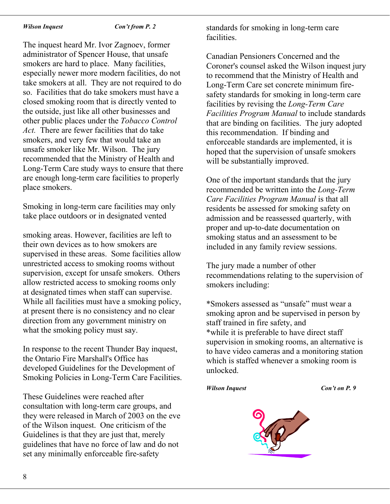### *Wilson Inquest Con't from P. 2*

The inquest heard Mr. Ivor Zagnoev, former administrator of Spencer House, that unsafe smokers are hard to place. Many facilities, especially newer more modern facilities, do not take smokers at all. They are not required to do so. Facilities that do take smokers must have a closed smoking room that is directly vented to the outside, just like all other businesses and other public places under the *Tobacco Control Act.* There are fewer facilities that do take smokers, and very few that would take an unsafe smoker like Mr. Wilson. The jury recommended that the Ministry of Health and Long-Term Care study ways to ensure that there are enough long-term care facilities to properly place smokers.

Smoking in long-term care facilities may only take place outdoors or in designated vented

smoking areas. However, facilities are left to their own devices as to how smokers are supervised in these areas. Some facilities allow unrestricted access to smoking rooms without supervision, except for unsafe smokers. Others allow restricted access to smoking rooms only at designated times when staff can supervise. While all facilities must have a smoking policy, at present there is no consistency and no clear direction from any government ministry on what the smoking policy must say.

In response to the recent Thunder Bay inquest, the Ontario Fire Marshall's Office has developed Guidelines for the Development of Smoking Policies in Long-Term Care Facilities.

These Guidelines were reached after consultation with long-term care groups, and they were released in March of 2003 on the eve of the Wilson inquest. One criticism of the Guidelines is that they are just that, merely guidelines that have no force of law and do not set any minimally enforceable fire-safety

standards for smoking in long-term care facilities.

Canadian Pensioners Concerned and the Coroner's counsel asked the Wilson inquest jury to recommend that the Ministry of Health and Long-Term Care set concrete minimum firesafety standards for smoking in long-term care facilities by revising the *Long-Term Care Facilities Program Manual* to include standards that are binding on facilities. The jury adopted this recommendation. If binding and enforceable standards are implemented, it is hoped that the supervision of unsafe smokers will be substantially improved.

One of the important standards that the jury recommended be written into the *Long-Term Care Facilities Program Manual* is that all residents be assessed for smoking safety on admission and be reassessed quarterly, with proper and up-to-date documentation on smoking status and an assessment to be included in any family review sessions.

The jury made a number of other recommendations relating to the supervision of smokers including:

\*Smokers assessed as "unsafe" must wear a smoking apron and be supervised in person by staff trained in fire safety, and \*while it is preferable to have direct staff supervision in smoking rooms, an alternative is to have video cameras and a monitoring station which is staffed whenever a smoking room is unlocked.

### *Wilson Inquest Con't on P. 9*

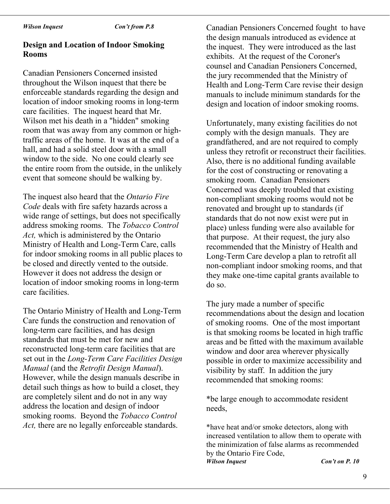### *Wilson Inquest Con't from P.8*

# **Design and Location of Indoor Smoking Rooms** exhibits. At the request of the Coroner's

Canadian Pensioners Concerned insisted throughout the Wilson inquest that there be enforceable standards regarding the design and location of indoor smoking rooms in long-term care facilities. The inquest heard that Mr. Wilson met his death in a "hidden" smoking room that was away from any common or hightraffic areas of the home. It was at the end of a hall, and had a solid steel door with a small window to the side. No one could clearly see the entire room from the outside, in the unlikely event that someone should be walking by.

The inquest also heard that the *Ontario Fire Code* deals with fire safety hazards across a wide range of settings, but does not specifically address smoking rooms. The *Tobacco Control Act,* which is administered by the Ontario Ministry of Health and Long-Term Care, calls for indoor smoking rooms in all public places to be closed and directly vented to the outside. However it does not address the design or location of indoor smoking rooms in long-term care facilities.

The Ontario Ministry of Health and Long-Term Care funds the construction and renovation of long-term care facilities, and has design standards that must be met for new and reconstructed long-term care facilities that are set out in the *Long-Term Care Facilities Design Manual* (and the *Retrofit Design Manual*). However, while the design manuals describe in detail such things as how to build a closet, they are completely silent and do not in any way address the location and design of indoor smoking rooms. Beyond the *Tobacco Control Act,* there are no legally enforceable standards.

Canadian Pensioners Concerned fought to have the design manuals introduced as evidence at the inquest. They were introduced as the last counsel and Canadian Pensioners Concerned, the jury recommended that the Ministry of Health and Long-Term Care revise their design manuals to include minimum standards for the design and location of indoor smoking rooms.

Unfortunately, many existing facilities do not comply with the design manuals. They are grandfathered, and are not required to comply unless they retrofit or reconstruct their facilities. Also, there is no additional funding available for the cost of constructing or renovating a smoking room. Canadian Pensioners Concerned was deeply troubled that existing non-compliant smoking rooms would not be renovated and brought up to standards (if standards that do not now exist were put in place) unless funding were also available for that purpose. At their request, the jury also recommended that the Ministry of Health and Long-Term Care develop a plan to retrofit all non-compliant indoor smoking rooms, and that they make one-time capital grants available to do so.

The jury made a number of specific recommendations about the design and location of smoking rooms. One of the most important is that smoking rooms be located in high traffic areas and be fitted with the maximum available window and door area wherever physically possible in order to maximize accessibility and visibility by staff. In addition the jury recommended that smoking rooms:

\*be large enough to accommodate resident needs,

\*have heat and/or smoke detectors, along with increased ventilation to allow them to operate with the minimization of false alarms as recommended by the Ontario Fire Code, *Wilson Inquest Con't on P. 10*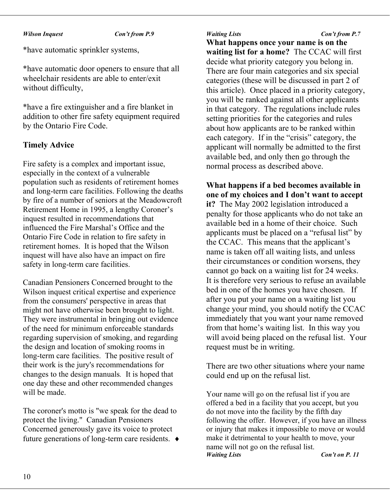### *Wilson Inquest Con't from P.9 Waiting Lists Con't from P.7*

\*have automatic sprinkler systems,

\*have automatic door openers to ensure that all wheelchair residents are able to enter/exit without difficulty,

\*have a fire extinguisher and a fire blanket in addition to other fire safety equipment required by the Ontario Fire Code.

## **Timely Advice**

Fire safety is a complex and important issue, especially in the context of a vulnerable population such as residents of retirement homes and long-term care facilities. Following the deaths by fire of a number of seniors at the Meadowcroft Retirement Home in 1995, a lengthy Coroner's inquest resulted in recommendations that influenced the Fire Marshal's Office and the Ontario Fire Code in relation to fire safety in retirement homes. It is hoped that the Wilson inquest will have also have an impact on fire safety in long-term care facilities.

Canadian Pensioners Concerned brought to the Wilson inquest critical expertise and experience from the consumers' perspective in areas that might not have otherwise been brought to light. They were instrumental in bringing out evidence of the need for minimum enforceable standards regarding supervision of smoking, and regarding the design and location of smoking rooms in long-term care facilities. The positive result of their work is the jury's recommendations for changes to the design manuals*.* It is hoped that one day these and other recommended changes will be made.

The coroner's motto is "we speak for the dead to protect the living." Canadian Pensioners Concerned generously gave its voice to protect future generations of long-term care residents. ♦

**What happens once your name is on the waiting list for a home?** The CCAC will first decide what priority category you belong in. There are four main categories and six special categories (these will be discussed in part 2 of this article). Once placed in a priority category, you will be ranked against all other applicants in that category. The regulations include rules setting priorities for the categories and rules about how applicants are to be ranked within each category. If in the "crisis" category, the applicant will normally be admitted to the first available bed, and only then go through the normal process as described above.

**What happens if a bed becomes available in one of my choices and I don't want to accept it?** The May 2002 legislation introduced a penalty for those applicants who do not take an available bed in a home of their choice. Such applicants must be placed on a "refusal list" by the CCAC. This means that the applicant's name is taken off all waiting lists, and unless their circumstances or condition worsens, they cannot go back on a waiting list for 24 weeks. It is therefore very serious to refuse an available bed in one of the homes you have chosen. If after you put your name on a waiting list you change your mind, you should notify the CCAC immediately that you want your name removed from that home's waiting list. In this way you will avoid being placed on the refusal list. Your request must be in writing.

There are two other situations where your name could end up on the refusal list.

Your name will go on the refusal list if you are offered a bed in a facility that you accept, but you do not move into the facility by the fifth day following the offer. However, if you have an illness or injury that makes it impossible to move or would make it detrimental to your health to move, your name will not go on the refusal list.<br>Waiting Lists *Con't on P. 11*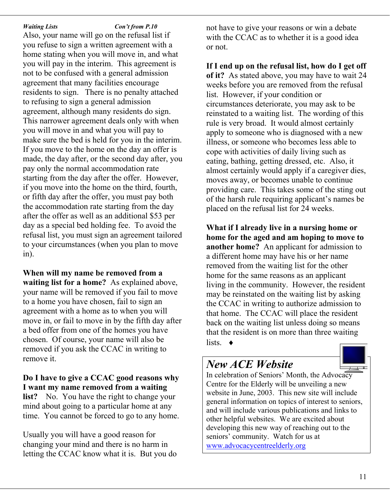*Waiting Lists Con't from P.10*

Also, your name will go on the refusal list if you refuse to sign a written agreement with a home stating when you will move in, and what you will pay in the interim. This agreement is not to be confused with a general admission agreement that many facilities encourage residents to sign. There is no penalty attached to refusing to sign a general admission agreement, although many residents do sign. This narrower agreement deals only with when you will move in and what you will pay to make sure the bed is held for you in the interim. If you move to the home on the day an offer is made, the day after, or the second day after, you pay only the normal accommodation rate starting from the day after the offer. However, if you move into the home on the third, fourth, or fifth day after the offer, you must pay both the accommodation rate starting from the day after the offer as well as an additional \$53 per day as a special bed holding fee. To avoid the refusal list, you must sign an agreement tailored to your circumstances (when you plan to move in).

**When will my name be removed from a waiting list for a home?** As explained above, your name will be removed if you fail to move to a home you have chosen, fail to sign an agreement with a home as to when you will move in, or fail to move in by the fifth day after a bed offer from one of the homes you have chosen. Of course, your name will also be removed if you ask the CCAC in writing to remove it.

**Do I have to give a CCAC good reasons why I want my name removed from a waiting list?** No. You have the right to change your mind about going to a particular home at any time. You cannot be forced to go to any home.

Usually you will have a good reason for changing your mind and there is no harm in letting the CCAC know what it is. But you do

not have to give your reasons or win a debate with the CCAC as to whether it is a good idea or not.

**If I end up on the refusal list, how do I get off of it?** As stated above, you may have to wait 24 weeks before you are removed from the refusal list. However, if your condition or circumstances deteriorate, you may ask to be reinstated to a waiting list. The wording of this rule is very broad. It would almost certainly apply to someone who is diagnosed with a new illness, or someone who becomes less able to cope with activities of daily living such as eating, bathing, getting dressed, etc. Also, it almost certainly would apply if a caregiver dies, moves away, or becomes unable to continue providing care. This takes some of the sting out of the harsh rule requiring applicant's names be placed on the refusal list for 24 weeks.

**What if I already live in a nursing home or home for the aged and am hoping to move to another home?** An applicant for admission to a different home may have his or her name removed from the waiting list for the other home for the same reasons as an applicant living in the community. However, the resident may be reinstated on the waiting list by asking the CCAC in writing to authorize admission to that home. The CCAC will place the resident back on the waiting list unless doing so means that the resident is on more than three waiting lists.  $\bullet$ 

# *New ACE Website*



In celebration of Seniors' Month, the Advocacy Centre for the Elderly will be unveiling a new website in June, 2003. This new site will include general information on topics of interest to seniors, and will include various publications and links to other helpful websites. We are excited about developing this new way of reaching out to the seniors' community. Watch for us at [www.advocacycentreelderly.org](http://www.advocacycentreelderly.org/)